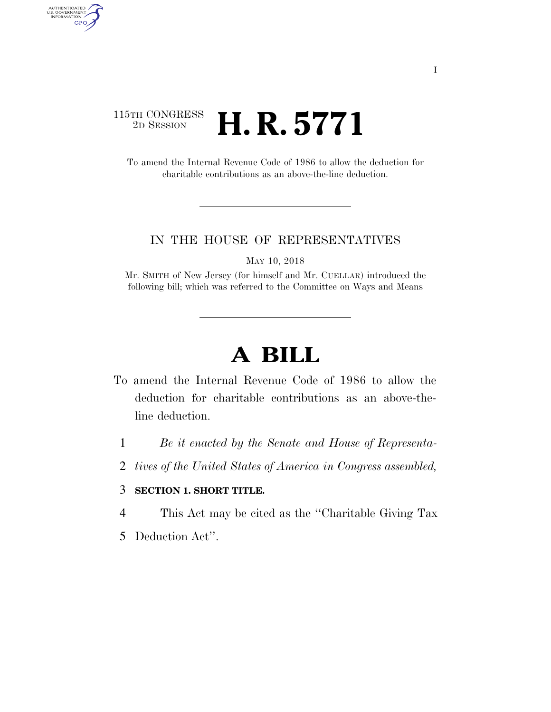## 115TH CONGRESS<br>2D SESSION 2D SESSION **H. R. 5771**

AUTHENTICATED<br>U.S. GOVERNMENT<br>INFORMATION GPO

> To amend the Internal Revenue Code of 1986 to allow the deduction for charitable contributions as an above-the-line deduction.

## IN THE HOUSE OF REPRESENTATIVES

MAY 10, 2018

Mr. SMITH of New Jersey (for himself and Mr. CUELLAR) introduced the following bill; which was referred to the Committee on Ways and Means

## **A BILL**

- To amend the Internal Revenue Code of 1986 to allow the deduction for charitable contributions as an above-theline deduction.
	- 1 *Be it enacted by the Senate and House of Representa-*
	- 2 *tives of the United States of America in Congress assembled,*

## 3 **SECTION 1. SHORT TITLE.**

- 4 This Act may be cited as the ''Charitable Giving Tax
- 5 Deduction Act''.